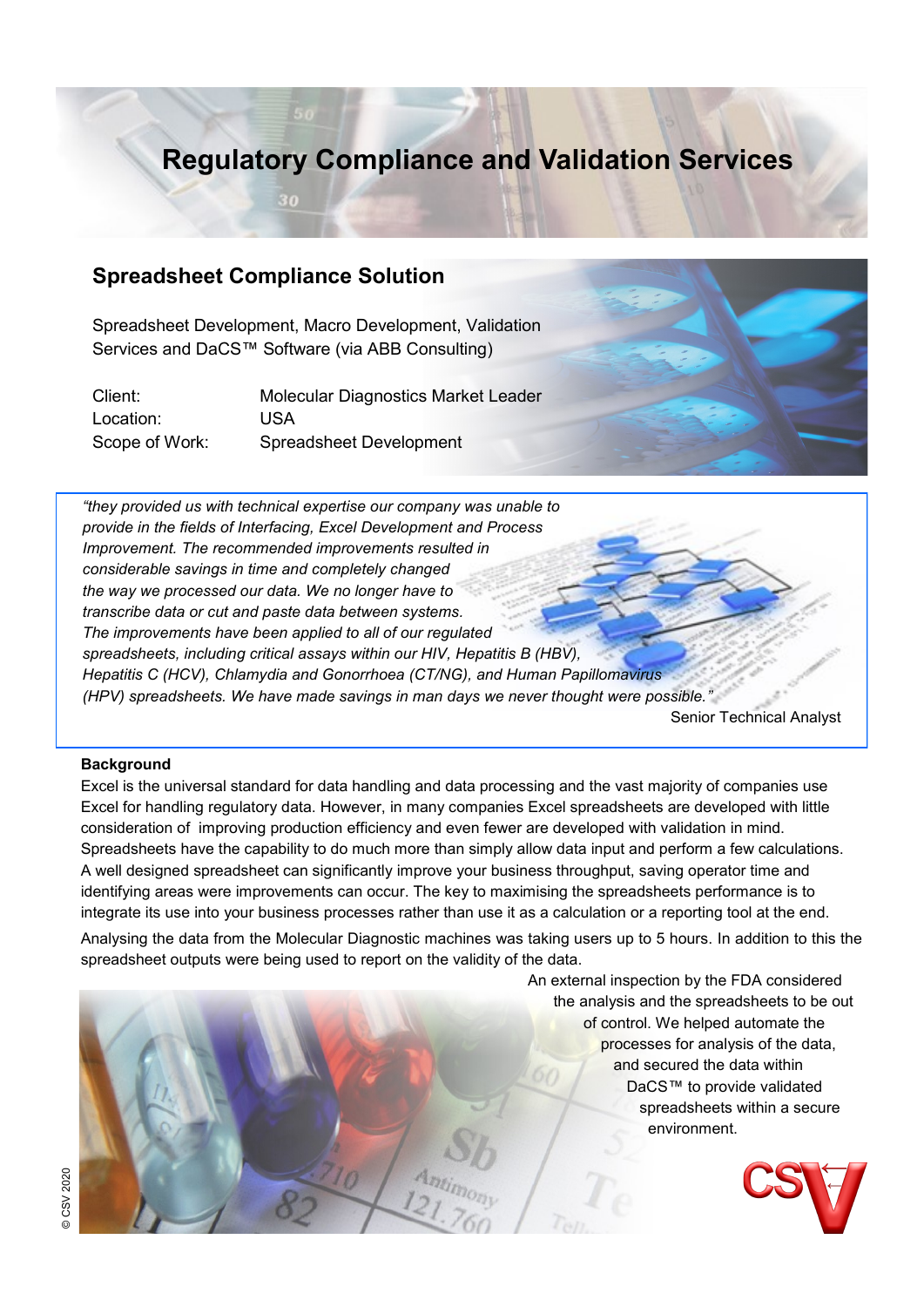## **Regulatory Compliance and Validation Services**

### **Spreadsheet Compliance Solution**

30

Spreadsheet Development, Macro Development, Validation Services and DaCS™ Software (via ABB Consulting)

| Client:        | Molecular Diagnostics Market Leader |
|----------------|-------------------------------------|
| Location:      | USA.                                |
| Scope of Work: | <b>Spreadsheet Development</b>      |



*"they provided us with technical expertise our company was unable to provide in the fields of Interfacing, Excel Development and Process Improvement. The recommended improvements resulted in considerable savings in time and completely changed the way we processed our data. We no longer have to transcribe data or cut and paste data between systems. The improvements have been applied to all of our regulated spreadsheets, including critical assays within our HIV, Hepatitis B (HBV), Hepatitis C (HCV), Chlamydia and Gonorrhoea (CT/NG), and Human Papillomavirus (HPV) spreadsheets. We have made savings in man days we never thought were possible."* 

Senior Technical Analyst

#### **Background**

Excel is the universal standard for data handling and data processing and the vast majority of companies use Excel for handling regulatory data. However, in many companies Excel spreadsheets are developed with little consideration of improving production efficiency and even fewer are developed with validation in mind. Spreadsheets have the capability to do much more than simply allow data input and perform a few calculations. A well designed spreadsheet can significantly improve your business throughput, saving operator time and identifying areas were improvements can occur. The key to maximising the spreadsheets performance is to integrate its use into your business processes rather than use it as a calculation or a reporting tool at the end.

Analysing the data from the Molecular Diagnostic machines was taking users up to 5 hours. In addition to this the spreadsheet outputs were being used to report on the validity of the data.

> An external inspection by the FDA considered the analysis and the spreadsheets to be out of control. We helped automate the processes for analysis of the data, and secured the data within DaCS™ to provide validated spreadsheets within a secure environment.